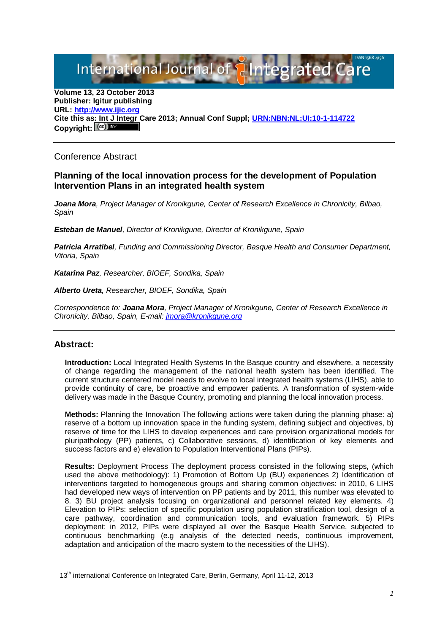# International Journal of **Plntegrated** C

**Volume 13, 23 October 2013 Publisher: Igitur publishing URL[: http://www.ijic.org](http://www.ijic.org/) Cite this as: Int J Integr Care 2013; Annual Conf Suppl; [URN:NBN:NL:UI:10-1-114722](http://persistent-identifier.nl/?identifier=URN:NBN:NL:UI:10-1-114722)** Copyright:  $(cc)$ 

## Conference Abstract

### **Planning of the local innovation process for the development of Population Intervention Plans in an integrated health system**

*Joana Mora, Project Manager of Kronikgune, Center of Research Excellence in Chronicity, Bilbao, Spain*

*Esteban de Manuel, Director of Kronikgune, Director of Kronikgune, Spain*

*Patricia Arratibel, Funding and Commissioning Director, Basque Health and Consumer Department, Vitoria, Spain*

*Katarina Paz, Researcher, BIOEF, Sondika, Spain*

*Alberto Ureta, Researcher, BIOEF, Sondika, Spain*

*Correspondence to: Joana Mora, Project Manager of Kronikgune, Center of Research Excellence in Chronicity, Bilbao, Spain, E-mail: [jmora@kronikgune.org](mailto:jmora@kronikgune.org)*

### **Abstract:**

**Introduction:** Local Integrated Health Systems In the Basque country and elsewhere, a necessity of change regarding the management of the national health system has been identified. The current structure centered model needs to evolve to local integrated health systems (LIHS), able to provide continuity of care, be proactive and empower patients. A transformation of system-wide delivery was made in the Basque Country, promoting and planning the local innovation process.

**Methods:** Planning the Innovation The following actions were taken during the planning phase: a) reserve of a bottom up innovation space in the funding system, defining subject and objectives, b) reserve of time for the LIHS to develop experiences and care provision organizational models for pluripathology (PP) patients, c) Collaborative sessions, d) identification of key elements and success factors and e) elevation to Population Interventional Plans (PIPs).

**Results:** Deployment Process The deployment process consisted in the following steps, (which used the above methodology): 1) Promotion of Bottom Up (BU) experiences 2) Identification of interventions targeted to homogeneous groups and sharing common objectives: in 2010, 6 LIHS had developed new ways of intervention on PP patients and by 2011, this number was elevated to 8. 3) BU project analysis focusing on organizational and personnel related key elements. 4) Elevation to PIPs: selection of specific population using population stratification tool, design of a care pathway, coordination and communication tools, and evaluation framework. 5) PIPs deployment: in 2012, PIPs were displayed all over the Basque Health Service, subjected to continuous benchmarking (e.g analysis of the detected needs, continuous improvement, adaptation and anticipation of the macro system to the necessities of the LIHS).

13<sup>th</sup> international Conference on Integrated Care, Berlin, Germany, April 11-12, 2013